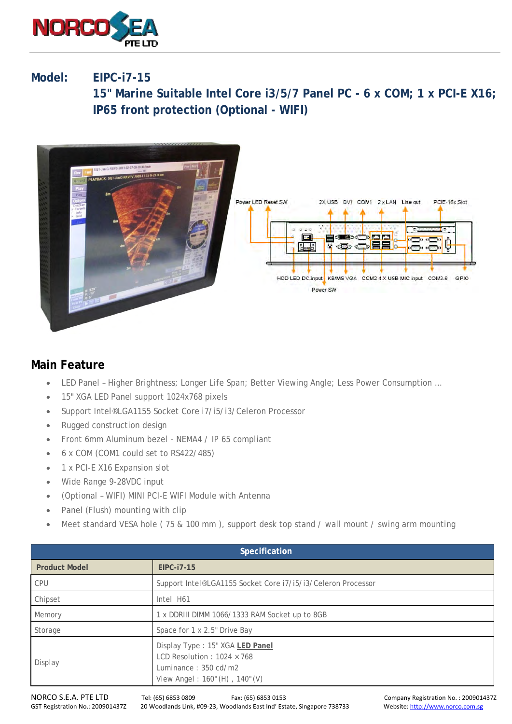

## **Model: EIPC-i7-15**

 **15" Marine Suitable Intel Core i3/5/7 Panel PC - 6 x COM; 1 x PCI-E X16; IP65 front protection (Optional - WIFI)** 



## **Main Feature**

- LED Panel Higher Brightness; Longer Life Span; Better Viewing Angle; Less Power Consumption …
- 15" XGA LED Panel support 1024x768 pixels
- Support Intel®LGA1155 Socket Core i7/i5/i3/Celeron Processor
- Rugged construction design
- Front 6mm Aluminum bezel NEMA4 / IP 65 compliant
- 6 x COM (COM1 could set to RS422/485)
- 1 x PCI-E X16 Expansion slot
- Wide Range 9-28VDC input
- (Optional WIFI) MINI PCI-E WIFI Module with Antenna
- Panel (Flush) mounting with clip
- Meet standard VESA hole ( 75 & 100 mm ), support desk top stand / wall mount / swing arm mounting

| <b>Specification</b> |                                                                                                                                                            |
|----------------------|------------------------------------------------------------------------------------------------------------------------------------------------------------|
| <b>Product Model</b> | EIPC-i7-15                                                                                                                                                 |
| <b>CPU</b>           | Support Intel®LGA1155 Socket Core i7/i5/i3/Celeron Processor                                                                                               |
| Chipset              | Intel H61                                                                                                                                                  |
| Memory               | 1 x DDRIII DIMM 1066/1333 RAM Socket up to 8GB                                                                                                             |
| Storage              | Space for 1 x 2.5" Drive Bay                                                                                                                               |
| Display              | Display Type: 15" XGA LED Panel<br>LCD Resolution: $1024 \times 768$<br>Luminance: $350 \text{ cd/m2}$<br>View Angel: $160^{\circ}$ (H), $140^{\circ}$ (V) |